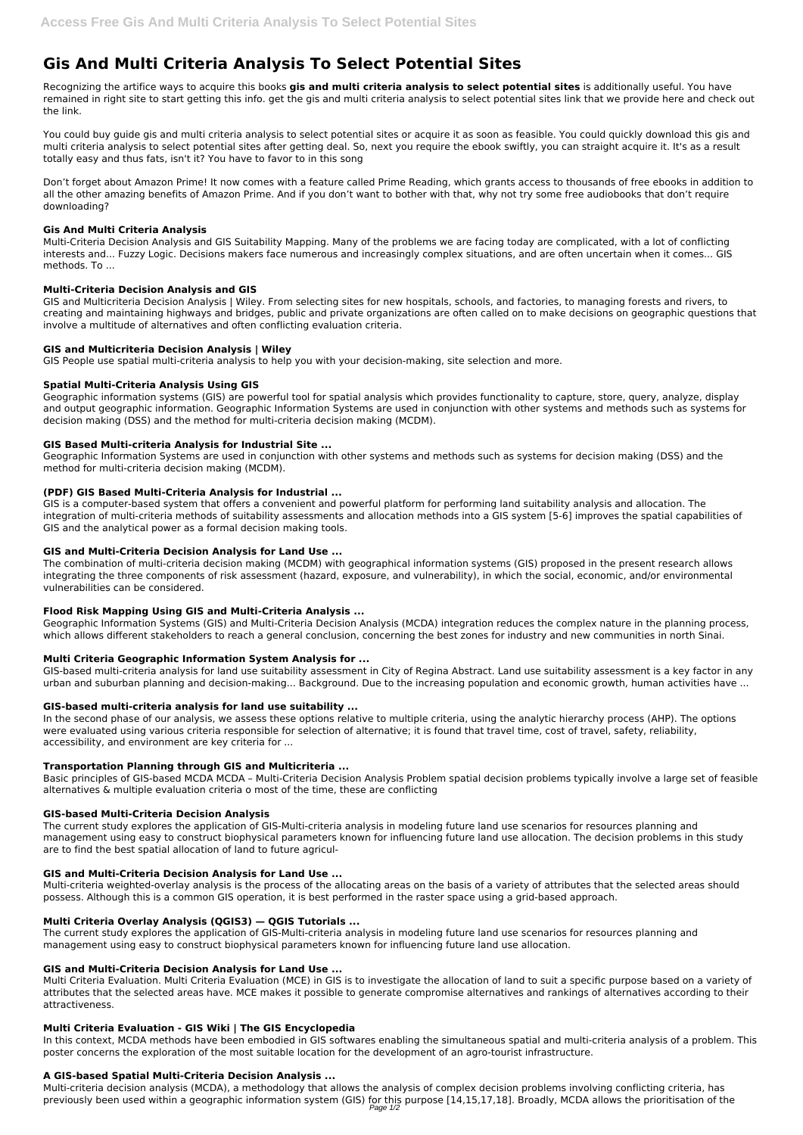# **Gis And Multi Criteria Analysis To Select Potential Sites**

Recognizing the artifice ways to acquire this books **gis and multi criteria analysis to select potential sites** is additionally useful. You have remained in right site to start getting this info. get the gis and multi criteria analysis to select potential sites link that we provide here and check out the link.

You could buy guide gis and multi criteria analysis to select potential sites or acquire it as soon as feasible. You could quickly download this gis and multi criteria analysis to select potential sites after getting deal. So, next you require the ebook swiftly, you can straight acquire it. It's as a result totally easy and thus fats, isn't it? You have to favor to in this song

Don't forget about Amazon Prime! It now comes with a feature called Prime Reading, which grants access to thousands of free ebooks in addition to all the other amazing benefits of Amazon Prime. And if you don't want to bother with that, why not try some free audiobooks that don't require downloading?

## **Gis And Multi Criteria Analysis**

Multi-Criteria Decision Analysis and GIS Suitability Mapping. Many of the problems we are facing today are complicated, with a lot of conflicting interests and... Fuzzy Logic. Decisions makers face numerous and increasingly complex situations, and are often uncertain when it comes... GIS methods. To ...

## **Multi-Criteria Decision Analysis and GIS**

GIS and Multicriteria Decision Analysis | Wiley. From selecting sites for new hospitals, schools, and factories, to managing forests and rivers, to creating and maintaining highways and bridges, public and private organizations are often called on to make decisions on geographic questions that involve a multitude of alternatives and often conflicting evaluation criteria.

## **GIS and Multicriteria Decision Analysis | Wiley**

GIS People use spatial multi-criteria analysis to help you with your decision-making, site selection and more.

## **Spatial Multi-Criteria Analysis Using GIS**

Geographic information systems (GIS) are powerful tool for spatial analysis which provides functionality to capture, store, query, analyze, display and output geographic information. Geographic Information Systems are used in conjunction with other systems and methods such as systems for decision making (DSS) and the method for multi-criteria decision making (MCDM).

# **GIS Based Multi-criteria Analysis for Industrial Site ...**

Geographic Information Systems are used in conjunction with other systems and methods such as systems for decision making (DSS) and the method for multi-criteria decision making (MCDM).

# **(PDF) GIS Based Multi-Criteria Analysis for Industrial ...**

GIS is a computer-based system that offers a convenient and powerful platform for performing land suitability analysis and allocation. The integration of multi-criteria methods of suitability assessments and allocation methods into a GIS system [5-6] improves the spatial capabilities of GIS and the analytical power as a formal decision making tools.

## **GIS and Multi-Criteria Decision Analysis for Land Use ...**

The combination of multi-criteria decision making (MCDM) with geographical information systems (GIS) proposed in the present research allows integrating the three components of risk assessment (hazard, exposure, and vulnerability), in which the social, economic, and/or environmental vulnerabilities can be considered.

Multi-criteria decision analysis (MCDA), a methodology that allows the analysis of complex decision problems involving conflicting criteria, has previously been used within a geographic information system (GIS) for this purpose [14,15,17,18]. Broadly, MCDA allows the prioritisation of the Page 1/2

# **Flood Risk Mapping Using GIS and Multi-Criteria Analysis ...**

Geographic Information Systems (GIS) and Multi-Criteria Decision Analysis (MCDA) integration reduces the complex nature in the planning process, which allows different stakeholders to reach a general conclusion, concerning the best zones for industry and new communities in north Sinai.

# **Multi Criteria Geographic Information System Analysis for ...**

GIS-based multi-criteria analysis for land use suitability assessment in City of Regina Abstract. Land use suitability assessment is a key factor in any urban and suburban planning and decision-making... Background. Due to the increasing population and economic growth, human activities have ...

## **GIS-based multi-criteria analysis for land use suitability ...**

In the second phase of our analysis, we assess these options relative to multiple criteria, using the analytic hierarchy process (AHP). The options were evaluated using various criteria responsible for selection of alternative; it is found that travel time, cost of travel, safety, reliability, accessibility, and environment are key criteria for ...

## **Transportation Planning through GIS and Multicriteria ...**

Basic principles of GIS-based MCDA MCDA – Multi-Criteria Decision Analysis Problem spatial decision problems typically involve a large set of feasible alternatives & multiple evaluation criteria o most of the time, these are conflicting

## **GIS-based Multi-Criteria Decision Analysis**

The current study explores the application of GIS-Multi-criteria analysis in modeling future land use scenarios for resources planning and management using easy to construct biophysical parameters known for influencing future land use allocation. The decision problems in this study are to find the best spatial allocation of land to future agricul-

#### **GIS and Multi-Criteria Decision Analysis for Land Use ...**

Multi-criteria weighted-overlay analysis is the process of the allocating areas on the basis of a variety of attributes that the selected areas should possess. Although this is a common GIS operation, it is best performed in the raster space using a grid-based approach.

#### **Multi Criteria Overlay Analysis (QGIS3) — QGIS Tutorials ...**

The current study explores the application of GIS-Multi-criteria analysis in modeling future land use scenarios for resources planning and management using easy to construct biophysical parameters known for influencing future land use allocation.

#### **GIS and Multi-Criteria Decision Analysis for Land Use ...**

Multi Criteria Evaluation. Multi Criteria Evaluation (MCE) in GIS is to investigate the allocation of land to suit a specific purpose based on a variety of attributes that the selected areas have. MCE makes it possible to generate compromise alternatives and rankings of alternatives according to their attractiveness.

#### **Multi Criteria Evaluation - GIS Wiki | The GIS Encyclopedia**

In this context, MCDA methods have been embodied in GIS softwares enabling the simultaneous spatial and multi-criteria analysis of a problem. This poster concerns the exploration of the most suitable location for the development of an agro-tourist infrastructure.

#### **A GIS-based Spatial Multi-Criteria Decision Analysis ...**